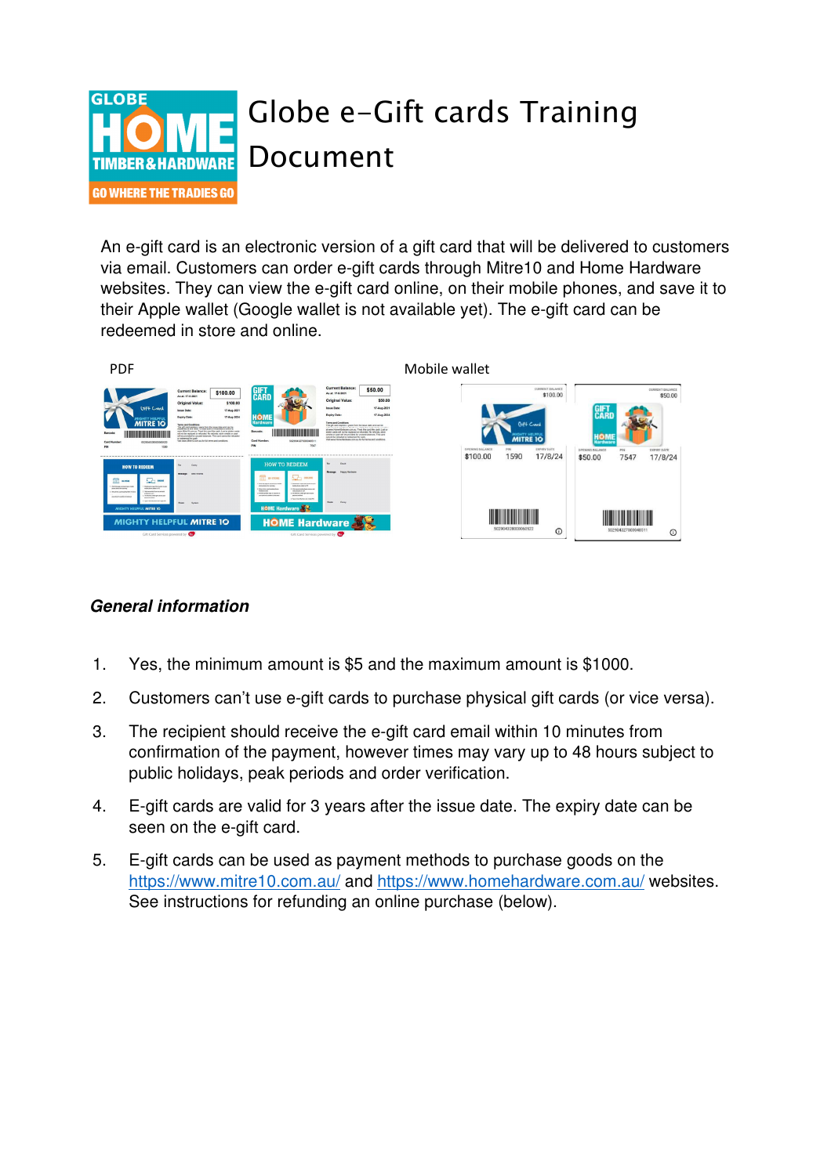

An e-gift card is an electronic version of a gift card that will be delivered to customers via email. Customers can order e-gift cards through Mitre10 and Home Hardware websites. They can view the e-gift card online, on their mobile phones, and save it to their Apple wallet (Google wallet is not available yet). The e-gift card can be redeemed in store and online.



## **General information**

- 1. Yes, the minimum amount is \$5 and the maximum amount is \$1000.
- 2. Customers can't use e-gift cards to purchase physical gift cards (or vice versa).
- 3. The recipient should receive the e-gift card email within 10 minutes from confirmation of the payment, however times may vary up to 48 hours subject to public holidays, peak periods and order verification.
- 4. E-gift cards are valid for 3 years after the issue date. The expiry date can be seen on the e-gift card.
- 5. E-gift cards can be used as payment methods to purchase goods on the https://www.mitre10.com.au/ and https://www.homehardware.com.au/ websites. See instructions for refunding an online purchase (below).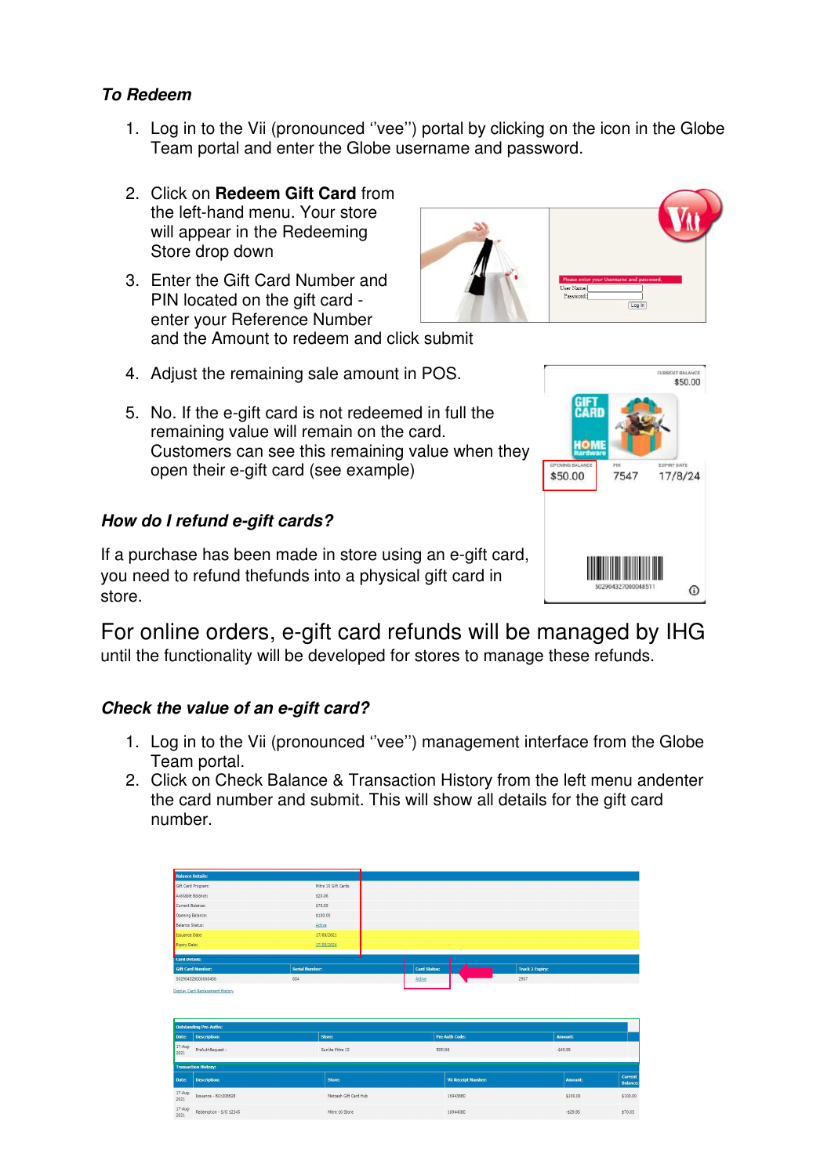## **To Redeem**

- 1. Log in to the Vii (pronounced ''vee'') portal by clicking on the icon in the Globe Team portal and enter the Globe username and password.
- 2. Click on **Redeem Gift Card** from the left-hand menu. Your store will appear in the Redeeming Store drop down
- 3. Enter the Gift Card Number and PIN located on the gift card enter your Reference Number and the Amount to redeem and click submit
- 4. Adjust the remaining sale amount in POS.
- 5. No. If the e-gift card is not redeemed in full the remaining value will remain on the card. Customers can see this remaining value when they open their e-gift card (see example)

## **How do I refund e-gift cards?**

If a purchase has been made in store using an e-gift card, you need to refund the funds into a physical gift card in store.

For online orders, e-gift card refunds will be managed by IHG until the functionality will be developed for stores to manage these refunds.

## **Check the value of an e-gift card?**

- 1. Log in to the Vii (pronounced ''vee'') management interface from the Globe Team portal.
- 2. Click on Check Balance & Transaction History from the left menu and enter the card number and submit. This will show all details for the gift card number.

|                                                      | <b>Balance Details:</b>                           |            |                       |                     |                            |                        |                |                                        |
|------------------------------------------------------|---------------------------------------------------|------------|-----------------------|---------------------|----------------------------|------------------------|----------------|----------------------------------------|
|                                                      | Gift Card Program:                                |            | Mitre 10 Gift Cards   |                     |                            |                        |                |                                        |
|                                                      | Available Balance:                                | \$20.06    |                       |                     |                            |                        |                |                                        |
| Current Balance:                                     |                                                   | \$70.05    |                       |                     |                            |                        |                |                                        |
|                                                      | Opening Balance:                                  | \$100.00   |                       |                     |                            |                        |                |                                        |
| <b>Balance Status:</b>                               |                                                   | Active     |                       |                     |                            |                        |                |                                        |
| Issuance Date:                                       |                                                   | 17/08/2021 |                       |                     |                            |                        |                |                                        |
| Expiry Date:                                         |                                                   | 17/08/2024 |                       |                     |                            |                        |                |                                        |
| <b>Lard Details:</b>                                 |                                                   |            |                       |                     |                            |                        |                |                                        |
|                                                      | <b>Gift Card Number:</b><br><b>Serial Number:</b> |            |                       | <b>Card Status:</b> |                            | <b>Track 2 Expiry:</b> |                |                                        |
| 604<br>502904328000060456                            |                                                   |            | Active                |                     | 2907                       |                        |                |                                        |
|                                                      |                                                   |            |                       |                     |                            |                        |                |                                        |
|                                                      | <b>Outstanding Pre-Auths:</b>                     |            |                       |                     |                            |                        |                |                                        |
|                                                      | <b>Description:</b>                               | Store:     |                       |                     | <b>Pre Auth Code:</b>      |                        | Amount:        |                                        |
| 2021                                                 | PreAuthRequest -                                  |            | Sunlite Mitre 10      | 595166              |                            |                        | $-549.99$      |                                        |
|                                                      | <b>Transaction History:</b>                       |            |                       |                     |                            |                        |                |                                        |
|                                                      | <b>Description:</b>                               |            | Store:                |                     | <b>Vii Receipt Number:</b> |                        | <b>Amount:</b> |                                        |
| Date:<br>17-Aug-<br>Date:<br>$17 - A \cup 0$<br>2021 | Issuance - BO:206628                              |            | Metcash Gift Card Hub |                     | 16943880                   |                        | \$100.00       | Current<br><b>Balance:</b><br>\$100.00 |